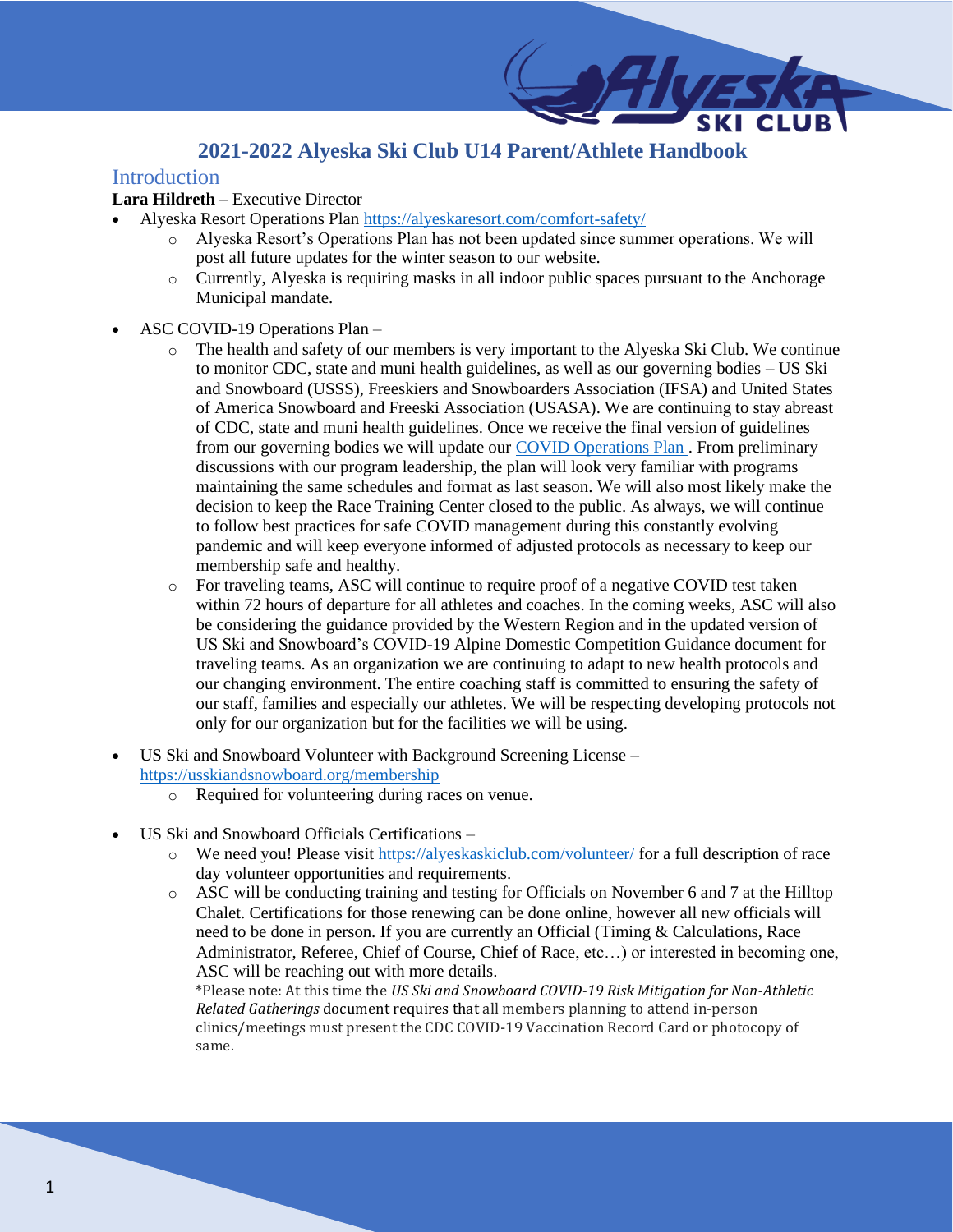## **2021-2022 Alyeska Ski Club U14 Parent/Athlete Handbook**

### **Introduction**

### **Lara Hildreth** – Executive Director

- Alyeska Resort Operations Plan<https://alyeskaresort.com/comfort-safety/>
	- o Alyeska Resort's Operations Plan has not been updated since summer operations. We will post all future updates for the winter season to our website.
	- o Currently, Alyeska is requiring masks in all indoor public spaces pursuant to the Anchorage Municipal mandate.
- ASC COVID-19 Operations Plan
	- o The health and safety of our members is very important to the Alyeska Ski Club. We continue to monitor CDC, state and muni health guidelines, as well as our governing bodies – US Ski and Snowboard (USSS), Freeskiers and Snowboarders Association (IFSA) and United States of America Snowboard and Freeski Association (USASA). We are continuing to stay abreast of CDC, state and muni health guidelines. Once we receive the final version of guidelines from our governing bodies we will update our [COVID Operations Plan .](https://alyeskaskiclub.com/covid-19-operations-plan/) From preliminary discussions with our program leadership, the plan will look very familiar with programs maintaining the same schedules and format as last season. We will also most likely make the decision to keep the Race Training Center closed to the public. As always, we will continue to follow best practices for safe COVID management during this constantly evolving pandemic and will keep everyone informed of adjusted protocols as necessary to keep our membership safe and healthy.
	- o For traveling teams, ASC will continue to require proof of a negative COVID test taken within 72 hours of departure for all athletes and coaches. In the coming weeks, ASC will also be considering the guidance provided by the Western Region and in the updated version of US Ski and Snowboard's COVID-19 Alpine Domestic Competition Guidance document for traveling teams. As an organization we are continuing to adapt to new health protocols and our changing environment. The entire coaching staff is committed to ensuring the safety of our staff, families and especially our athletes. We will be respecting developing protocols not only for our organization but for the facilities we will be using.
- US Ski and Snowboard Volunteer with Background Screening License <https://usskiandsnowboard.org/membership>
	- o Required for volunteering during races on venue.
- US Ski and Snowboard Officials Certifications
	- o We need you! Please visit<https://alyeskaskiclub.com/volunteer/> for a full description of race day volunteer opportunities and requirements.
	- $\circ$  ASC will be conducting training and testing for Officials on November 6 and 7 at the Hilltop Chalet. Certifications for those renewing can be done online, however all new officials will need to be done in person. If you are currently an Official (Timing & Calculations, Race Administrator, Referee, Chief of Course, Chief of Race, etc…) or interested in becoming one, ASC will be reaching out with more details.

\*Please note: At this time the *US Ski and Snowboard COVID-19 Risk Mitigation for Non-Athletic Related Gatherings* document requires that all members planning to attend in-person clinics/meetings must present the CDC COVID-19 Vaccination Record Card or photocopy of same.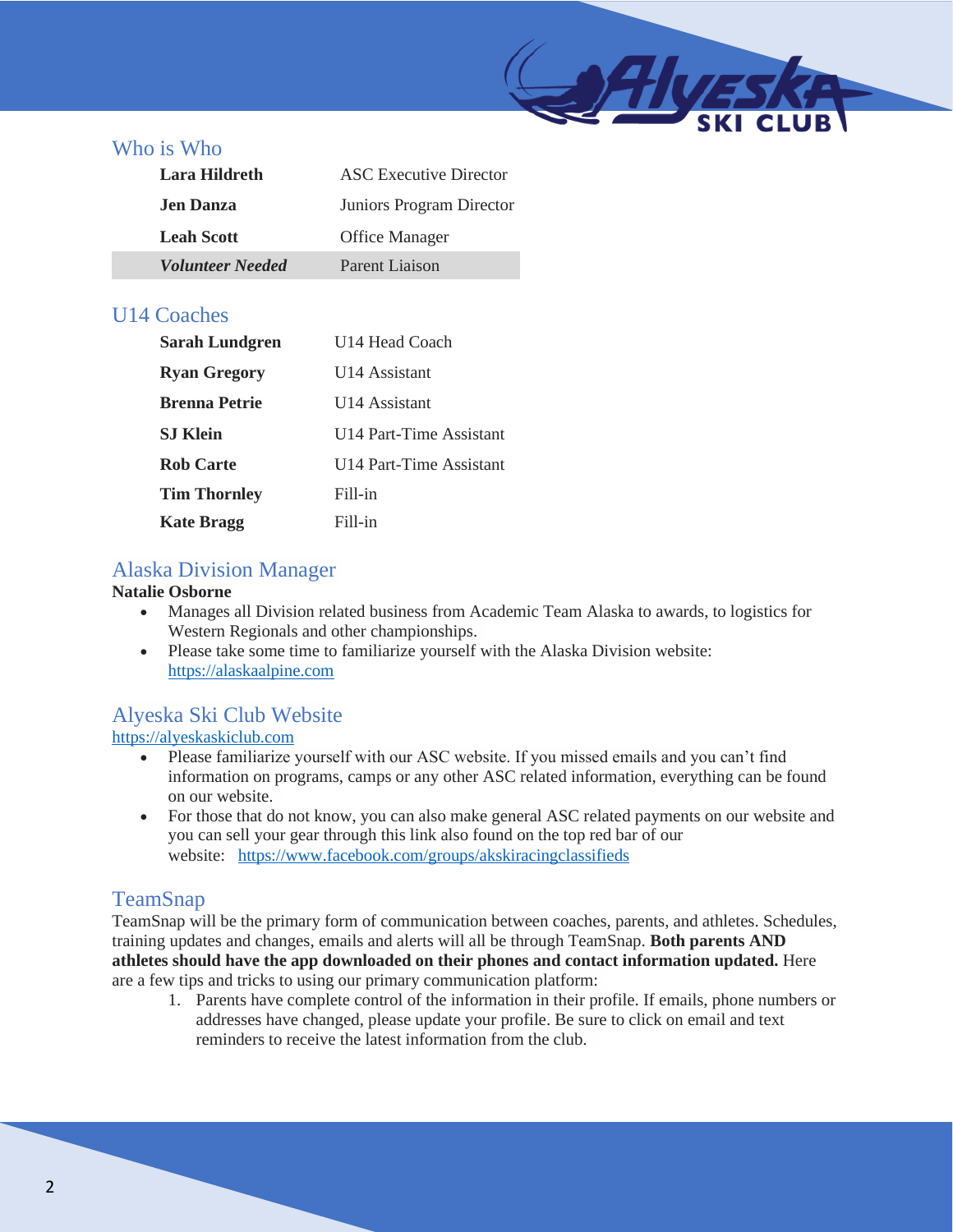## Who is Who

| Lara Hildreth           | ASC Executive Director   |
|-------------------------|--------------------------|
| <b>Jen Danza</b>        | Juniors Program Director |
| <b>Leah Scott</b>       | <b>Office Manager</b>    |
| <i>Volunteer Needed</i> | Parent Liaison           |

## U14 Coaches

| Sarah Lundgren       | U14 Head Coach          |
|----------------------|-------------------------|
| <b>Ryan Gregory</b>  | U14 Assistant           |
| <b>Brenna Petrie</b> | U14 Assistant           |
| <b>S.I Klein</b>     | U14 Part-Time Assistant |
| <b>Rob Carte</b>     | U14 Part-Time Assistant |
| <b>Tim Thornley</b>  | Fill-in                 |
| <b>Kate Bragg</b>    | Fill-in                 |

## Alaska Division Manager

#### **Natalie Osborne**

- Manages all Division related business from Academic Team Alaska to awards, to logistics for Western Regionals and other championships.
- Please take some time to familiarize yourself with the Alaska Division website: [https://alaskaalpine.com](https://alaskaalpine.com/)

## Alyeska Ski Club Website

[https://alyeskaskiclub.com](https://alyeskaskiclub.com/)

- Please familiarize yourself with our ASC website. If you missed emails and you can't find information on programs, camps or any other ASC related information, everything can be found on our website.
- For those that do not know, you can also make general ASC related payments on our website and you can sell your gear through this link also found on the top red bar of our website: <https://www.facebook.com/groups/akskiracingclassifieds>

## TeamSnap

TeamSnap will be the primary form of communication between coaches, parents, and athletes. Schedules, training updates and changes, emails and alerts will all be through TeamSnap. **Both parents AND athletes should have the app downloaded on their phones and contact information updated.** Here are a few tips and tricks to using our primary communication platform:

1. Parents have complete control of the information in their profile. If emails, phone numbers or addresses have changed, please update your profile. Be sure to click on email and text reminders to receive the latest information from the club.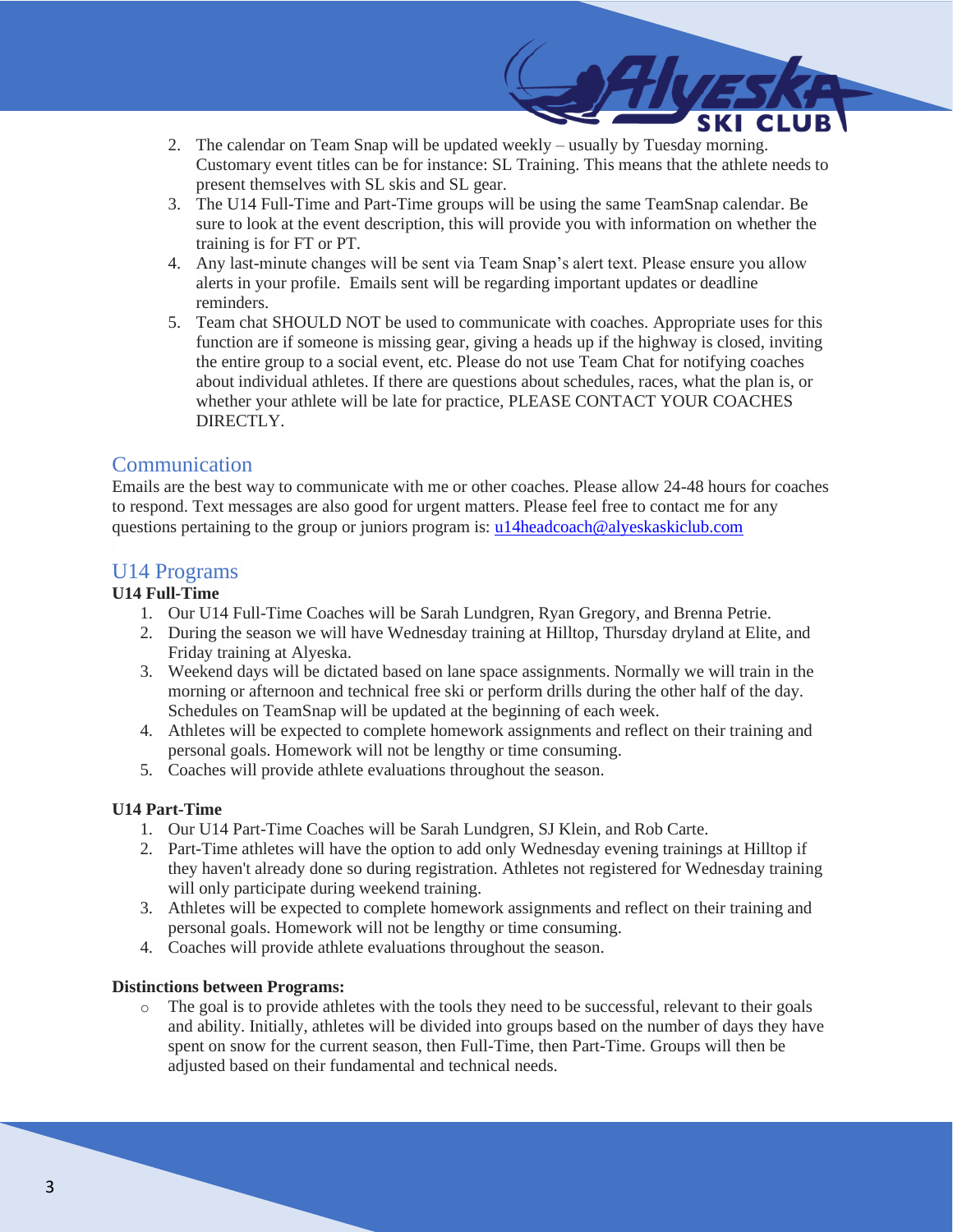- 2. The calendar on Team Snap will be updated weekly usually by Tuesday morning. Customary event titles can be for instance: SL Training. This means that the athlete needs to present themselves with SL skis and SL gear.
- 3. The U14 Full-Time and Part-Time groups will be using the same TeamSnap calendar. Be sure to look at the event description, this will provide you with information on whether the training is for FT or PT.
- 4. Any last-minute changes will be sent via Team Snap's alert text. Please ensure you allow alerts in your profile. Emails sent will be regarding important updates or deadline reminders.
- 5. Team chat SHOULD NOT be used to communicate with coaches. Appropriate uses for this function are if someone is missing gear, giving a heads up if the highway is closed, inviting the entire group to a social event, etc. Please do not use Team Chat for notifying coaches about individual athletes. If there are questions about schedules, races, what the plan is, or whether your athlete will be late for practice, PLEASE CONTACT YOUR COACHES DIRECTLY.

### Communication

Emails are the best way to communicate with me or other coaches. Please allow 24-48 hours for coaches to respond. Text messages are also good for urgent matters. Please feel free to contact me for any questions pertaining to the group or juniors program is: u14headcoach@alyeskaskiclub.com

### U14 Programs

### **U14 Full-Time**

- 1. Our U14 Full-Time Coaches will be Sarah Lundgren, Ryan Gregory, and Brenna Petrie.
- 2. During the season we will have Wednesday training at Hilltop, Thursday dryland at Elite, and Friday training at Alyeska.
- 3. Weekend days will be dictated based on lane space assignments. Normally we will train in the morning or afternoon and technical free ski or perform drills during the other half of the day. Schedules on TeamSnap will be updated at the beginning of each week.
- 4. Athletes will be expected to complete homework assignments and reflect on their training and personal goals. Homework will not be lengthy or time consuming.
- 5. Coaches will provide athlete evaluations throughout the season.

#### **U14 Part-Time**

- 1. Our U14 Part-Time Coaches will be Sarah Lundgren, SJ Klein, and Rob Carte.
- 2. Part-Time athletes will have the option to add only Wednesday evening trainings at Hilltop if they haven't already done so during registration. Athletes not registered for Wednesday training will only participate during weekend training.
- 3. Athletes will be expected to complete homework assignments and reflect on their training and personal goals. Homework will not be lengthy or time consuming.
- 4. Coaches will provide athlete evaluations throughout the season.

#### **Distinctions between Programs:**

o The goal is to provide athletes with the tools they need to be successful, relevant to their goals and ability. Initially, athletes will be divided into groups based on the number of days they have spent on snow for the current season, then Full-Time, then Part-Time. Groups will then be adjusted based on their fundamental and technical needs.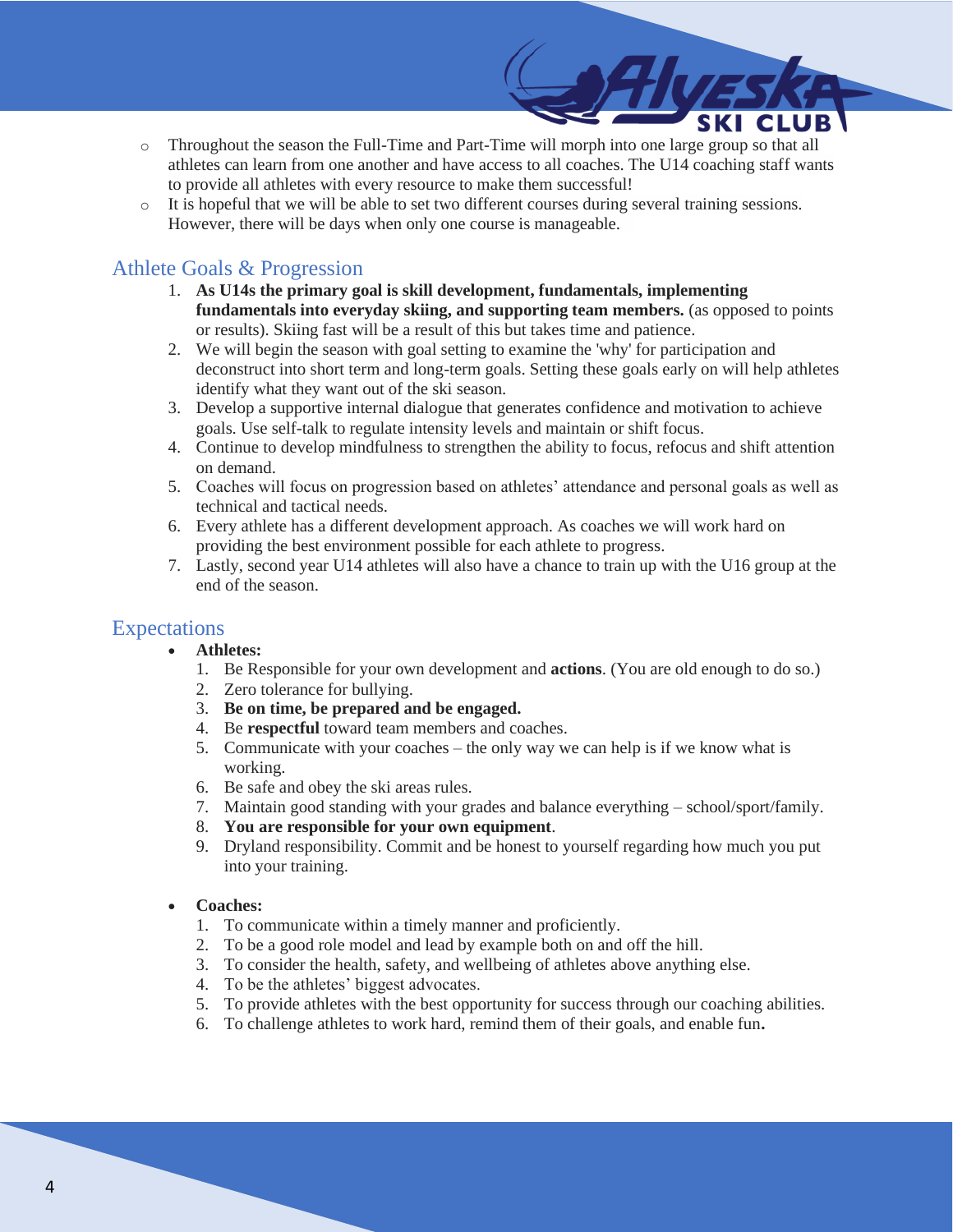- o Throughout the season the Full-Time and Part-Time will morph into one large group so that all athletes can learn from one another and have access to all coaches. The U14 coaching staff wants to provide all athletes with every resource to make them successful!
- o It is hopeful that we will be able to set two different courses during several training sessions. However, there will be days when only one course is manageable.

## Athlete Goals & Progression

- 1. **As U14s the primary goal is skill development, fundamentals, implementing fundamentals into everyday skiing, and supporting team members.** (as opposed to points or results). Skiing fast will be a result of this but takes time and patience.
- 2. We will begin the season with goal setting to examine the 'why' for participation and deconstruct into short term and long-term goals. Setting these goals early on will help athletes identify what they want out of the ski season.
- 3. Develop a supportive internal dialogue that generates confidence and motivation to achieve goals. Use self-talk to regulate intensity levels and maintain or shift focus.
- 4. Continue to develop mindfulness to strengthen the ability to focus, refocus and shift attention on demand.
- 5. Coaches will focus on progression based on athletes' attendance and personal goals as well as technical and tactical needs.
- 6. Every athlete has a different development approach. As coaches we will work hard on providing the best environment possible for each athlete to progress.
- 7. Lastly, second year U14 athletes will also have a chance to train up with the U16 group at the end of the season.

## Expectations

- **Athletes:**
	- 1. Be Responsible for your own development and **actions**. (You are old enough to do so.)
	- 2. Zero tolerance for bullying.
	- 3. **Be on time, be prepared and be engaged.**
	- 4. Be **respectful** toward team members and coaches.
	- 5. Communicate with your coaches the only way we can help is if we know what is working.
	- 6. Be safe and obey the ski areas rules.
	- 7. Maintain good standing with your grades and balance everything school/sport/family.
	- 8. **You are responsible for your own equipment**.
	- 9. Dryland responsibility. Commit and be honest to yourself regarding how much you put into your training.

#### • **Coaches:**

- 1. To communicate within a timely manner and proficiently.
- 2. To be a good role model and lead by example both on and off the hill.
- 3. To consider the health, safety, and wellbeing of athletes above anything else.
- 4. To be the athletes' biggest advocates.
- 5. To provide athletes with the best opportunity for success through our coaching abilities.
- 6. To challenge athletes to work hard, remind them of their goals, and enable fun**.**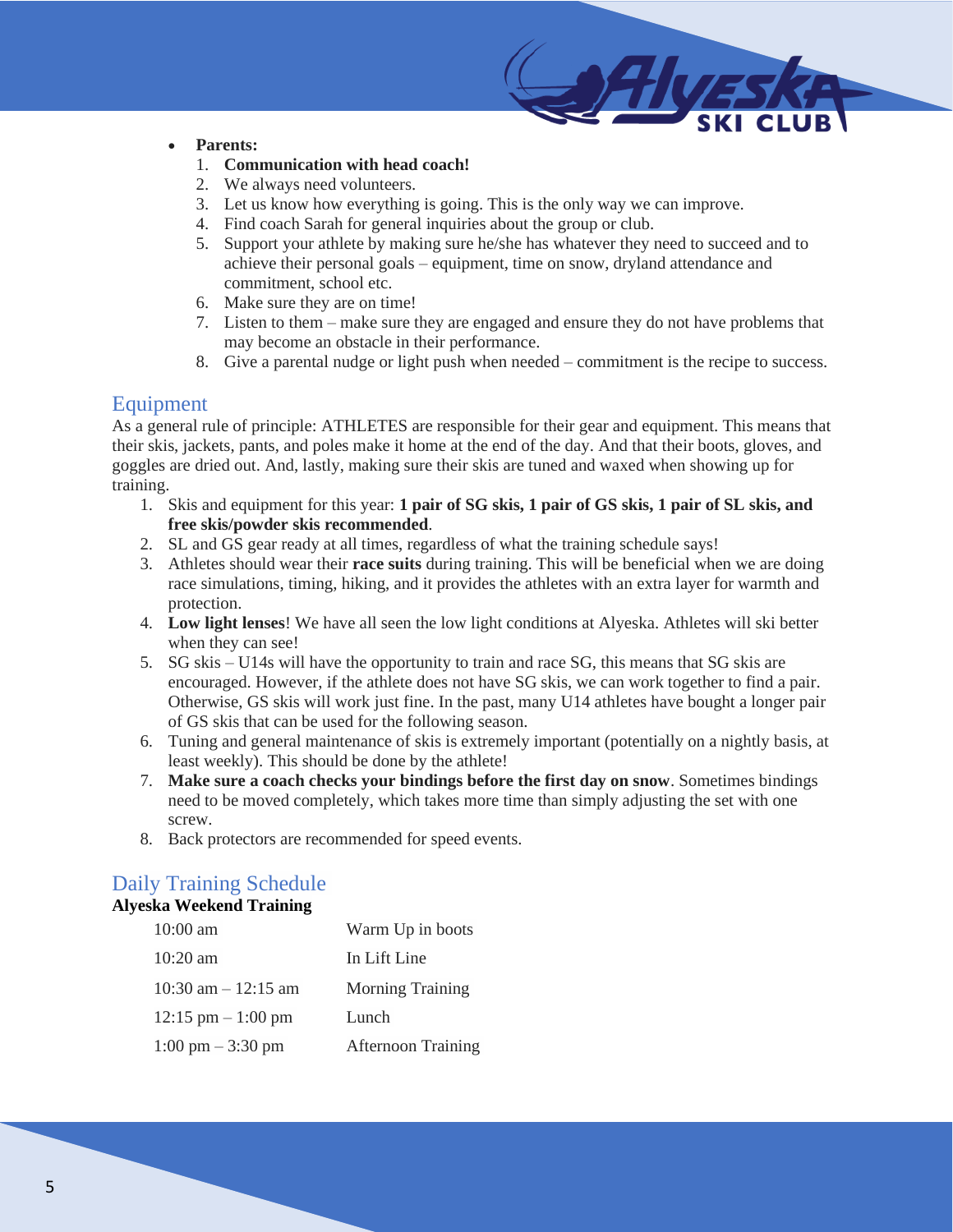#### • **Parents:**

- 1. **Communication with head coach!**
- 2. We always need volunteers.
- 3. Let us know how everything is going. This is the only way we can improve.
- 4. Find coach Sarah for general inquiries about the group or club.
- 5. Support your athlete by making sure he/she has whatever they need to succeed and to achieve their personal goals – equipment, time on snow, dryland attendance and commitment, school etc.
- 6. Make sure they are on time!
- 7. Listen to them make sure they are engaged and ensure they do not have problems that may become an obstacle in their performance.
- 8. Give a parental nudge or light push when needed commitment is the recipe to success.

## Equipment

As a general rule of principle: ATHLETES are responsible for their gear and equipment. This means that their skis, jackets, pants, and poles make it home at the end of the day. And that their boots, gloves, and goggles are dried out. And, lastly, making sure their skis are tuned and waxed when showing up for training.

- 1. Skis and equipment for this year: **1 pair of SG skis, 1 pair of GS skis, 1 pair of SL skis, and free skis/powder skis recommended**.
- 2. SL and GS gear ready at all times, regardless of what the training schedule says!
- 3. Athletes should wear their **race suits** during training. This will be beneficial when we are doing race simulations, timing, hiking, and it provides the athletes with an extra layer for warmth and protection.
- 4. **Low light lenses**! We have all seen the low light conditions at Alyeska. Athletes will ski better when they can see!
- 5. SG skis U14s will have the opportunity to train and race SG, this means that SG skis are encouraged. However, if the athlete does not have SG skis, we can work together to find a pair. Otherwise, GS skis will work just fine. In the past, many U14 athletes have bought a longer pair of GS skis that can be used for the following season.
- 6. Tuning and general maintenance of skis is extremely important (potentially on a nightly basis, at least weekly). This should be done by the athlete!
- 7. **Make sure a coach checks your bindings before the first day on snow**. Sometimes bindings need to be moved completely, which takes more time than simply adjusting the set with one screw.
- 8. Back protectors are recommended for speed events.

# Daily Training Schedule

### **Alyeska Weekend Training**

| $10:00$ am                          | Warm Up in boots          |
|-------------------------------------|---------------------------|
| $10:20$ am                          | In Lift Line              |
| $10:30$ am $-12:15$ am              | <b>Morning Training</b>   |
| $12:15$ pm $-1:00$ pm               | Lunch                     |
| $1:00 \text{ pm} - 3:30 \text{ pm}$ | <b>Afternoon Training</b> |